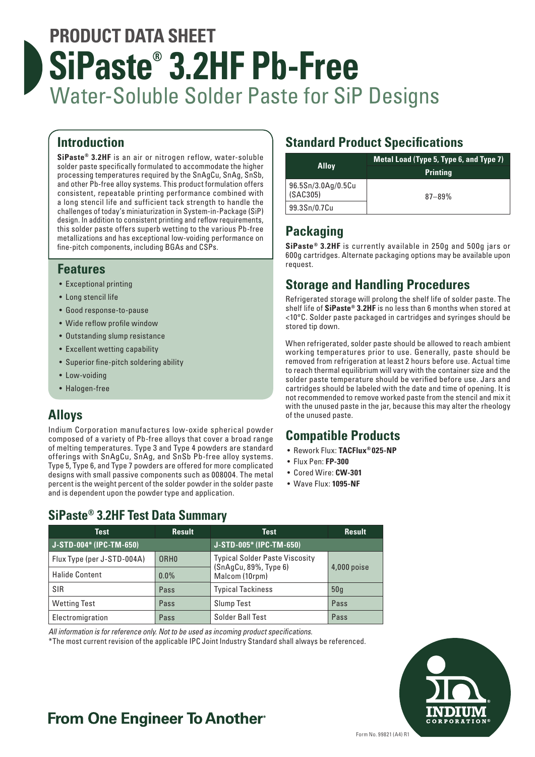# **PRODUCT DATA SHEET SiPaste® 3.2HF Pb-Free** Water-Soluble Solder Paste for SiP Designs

## **Introduction**

**SiPaste® 3.2HF** is an air or nitrogen reflow, water-soluble solder paste specifically formulated to accommodate the higher processing temperatures required by the SnAgCu, SnAg, SnSb, and other Pb-free alloy systems. This product formulation offers consistent, repeatable printing performance combined with a long stencil life and sufficient tack strength to handle the challenges of today's miniaturization in System-in-Package (SiP) design. In addition to consistent printing and reflow requirements, this solder paste offers superb wetting to the various Pb-free metallizations and has exceptional low-voiding performance on fine-pitch components, including BGAs and CSPs.

### **Features**

- Exceptional printing
- Long stencil life
- Good response-to-pause
- Wide reflow profile window
- Outstanding slump resistance
- Excellent wetting capability
- Superior fine-pitch soldering ability
- Low-voiding
- Halogen-free

# **Alloys**

Indium Corporation manufactures low-oxide spherical powder composed of a variety of Pb-free alloys that cover a broad range of melting temperatures. Type 3 and Type 4 powders are standard offerings with SnAgCu, SnAg, and SnSb Pb-free alloy systems. Type 5, Type 6, and Type 7 powders are offered for more complicated designs with small passive components such as 008004. The metal percent is the weight percent of the solder powder in the solder paste and is dependent upon the powder type and application.

# **Standard Product Specifications**

| <b>Alloy</b>                   | Metal Load (Type 5, Type 6, and Type 7) |
|--------------------------------|-----------------------------------------|
|                                | <b>Printing</b>                         |
| 96.5Sn/3.0Ag/0.5Cu<br>(SAC305) | $87 - 89%$                              |
| 99.3Sn/0.7Cu                   |                                         |

# **Packaging**

**SiPaste® 3.2HF** is currently available in 250g and 500g jars or 600g cartridges. Alternate packaging options may be available upon request.

## **Storage and Handling Procedures**

Refrigerated storage will prolong the shelf life of solder paste. The shelf life of **SiPaste® 3.2HF** is no less than 6 months when stored at <10°C. Solder paste packaged in cartridges and syringes should be stored tip down.

When refrigerated, solder paste should be allowed to reach ambient working temperatures prior to use. Generally, paste should be removed from refrigeration at least 2 hours before use. Actual time to reach thermal equilibrium will vary with the container size and the solder paste temperature should be verified before use. Jars and cartridges should be labeled with the date and time of opening. It is not recommended to remove worked paste from the stencil and mix it with the unused paste in the jar, because this may alter the rheology of the unused paste.

# **Compatible Products**

- Rework Flux: **TACFlux® 025-NP**
- Flux Pen: **FP-300**
- Cored Wire: **CW-301**
- Wave Flux: **1095-NF**

# **SiPaste® 3.2HF Test Data Summary**

| Test                       | <b>Result</b>    | Test                                                                                              | <b>Result</b> |
|----------------------------|------------------|---------------------------------------------------------------------------------------------------|---------------|
| J-STD-004* (IPC-TM-650)    |                  | J-STD-005* (IPC-TM-650)                                                                           |               |
| Flux Type (per J-STD-004A) | ORH <sub>0</sub> | <b>Typical Solder Paste Viscosity</b><br>(SnAgCu, 89%, Type 6)<br>$4,000$ poise<br>Malcom (10rpm) |               |
| <b>Halide Content</b>      | $0.0\%$          |                                                                                                   |               |
| SIR                        | Pass             | <b>Typical Tackiness</b>                                                                          | 50q           |
| <b>Wetting Test</b>        | Pass             | <b>Slump Test</b>                                                                                 | Pass          |
| Electromigration           | Pass             | Solder Ball Test                                                                                  | Pass          |

*All information is for reference only. Not to be used as incoming product specifications.*

\*The most current revision of the applicable IPC Joint Industry Standard shall always be referenced.



# **From One Engineer To Another**®